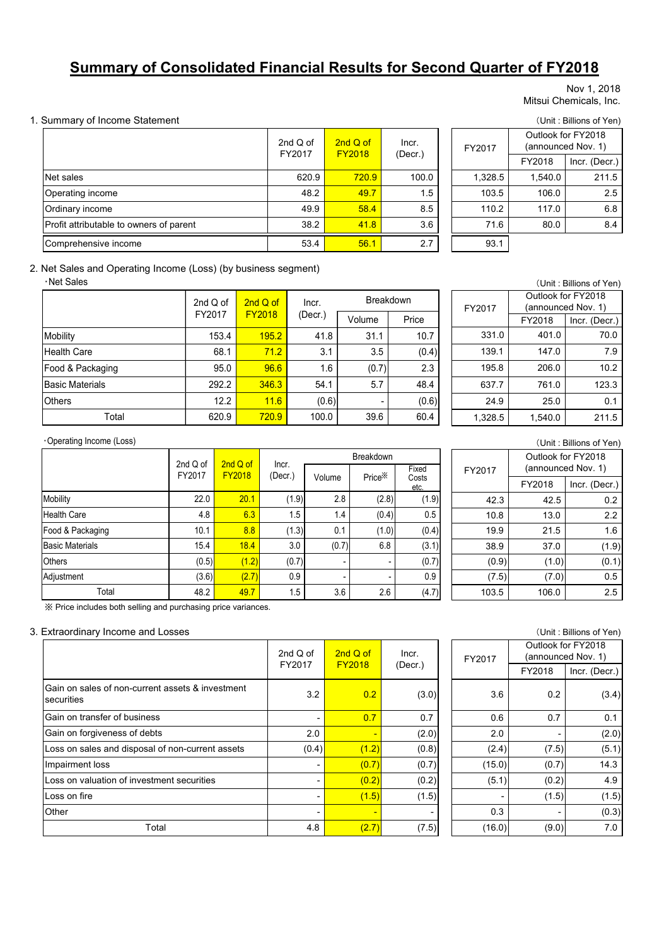# **Summary of Consolidated Financial Results for Second Quarter of FY2018**

#### Nov 1, 2018 Mitsui Chemicals, Inc.

#### 1. Summary of Income Statement (Unit : Billions of Yen)

|                                         | 2nd $Q$ of<br>FY2017 | 2nd Q of<br><b>FY2018</b> | Incr.   | FY2017  | Outlook for FY2018<br>(announced Nov. 1) |               |
|-----------------------------------------|----------------------|---------------------------|---------|---------|------------------------------------------|---------------|
|                                         |                      |                           | (Decr.) |         | FY2018                                   | Incr. (Decr.) |
| Net sales                               | 620.9                | 720.9                     | 100.0   | 1.328.5 | 1.540.0                                  | 211.5         |
| Operating income                        | 48.2                 | 49.7                      | 1.5     | 103.5   | 106.0                                    | 2.5           |
| Ordinary income                         | 49.9                 | 58.4                      | 8.5     | 110.2   | 117.0                                    | 6.8           |
| Profit attributable to owners of parent | 38.2                 | 41.8                      | 3.6     | 71.6    | 80.0                                     | 8.4           |
| Comprehensive income                    | 53.4                 | 56.1                      | 2.7     | 93.1    |                                          |               |

## FY2018 Incr. (Decr.) 1,328.5 1,540.0 211.5 FY2017 Outlook for FY2018 (announced Nov. 1)

#### 2. Net Sales and Operating Income (Loss) (by business segment)

・Net Sales

|                        | 2nd $Q$ of | 2nd Q of      | Incr.   | <b>Breakdown</b> |       |  |  |
|------------------------|------------|---------------|---------|------------------|-------|--|--|
|                        | FY2017     | <b>FY2018</b> | (Decr.) | Volume           | Price |  |  |
| Mobility               | 153.4      | 195.2         | 41.8    | 31.1             | 10.7  |  |  |
| <b>Health Care</b>     | 68.1       | 71.2          | 3.1     | 3.5              | (0.4) |  |  |
| Food & Packaging       | 95.0       | 96.6          | 1.6     | (0.7)            | 2.3   |  |  |
| <b>Basic Materials</b> | 292.2      | 346.3         | 54.1    | 5.7              | 48.4  |  |  |
| <b>Others</b>          | 12.2       | 11.6          | (0.6)   |                  | (0.6) |  |  |
| Total                  | 620.9      | 720.9         | 100.0   | 39.6             | 60.4  |  |  |

| (Unit: Billions of Yen) |         |                    |  |  |  |  |  |
|-------------------------|---------|--------------------|--|--|--|--|--|
|                         |         | Outlook for FY2018 |  |  |  |  |  |
| FY2017                  |         | (announced Nov. 1) |  |  |  |  |  |
|                         | FY2018  | Incr. (Decr.)      |  |  |  |  |  |
| 331.0                   | 401.0   | 70.0               |  |  |  |  |  |
| 139.1                   | 147.0   | 7.9                |  |  |  |  |  |
| 195.8                   | 206.0   | 10.2               |  |  |  |  |  |
| 637.7                   | 761.0   | 123.3              |  |  |  |  |  |
| 24.9                    | 25.0    | 0.1                |  |  |  |  |  |
| 1,328.5                 | 1,540.0 | 211.5              |  |  |  |  |  |

#### ・Operating Income (Loss)

|                        | 2nd Q of | 2nd Q of      |                  | <b>Breakdown</b> |                    |                        |  |  |  |  |
|------------------------|----------|---------------|------------------|------------------|--------------------|------------------------|--|--|--|--|
|                        | FY2017   | <b>FY2018</b> | Incr.<br>(Decr.) | Volume           | Price <sup>X</sup> | Fixed<br>Costs<br>etc. |  |  |  |  |
| <b>Mobility</b>        | 22.0     | 20.1          | (1.9)            | 2.8              | (2.8)              | (1.9)                  |  |  |  |  |
| <b>Health Care</b>     | 4.8      | 6.3           | 1.5              | 1.4              | (0.4)              | 0.5                    |  |  |  |  |
| Food & Packaging       | 10.1     | 8.8           | (1.3)            | 0.1              | (1.0)              | (0.4)                  |  |  |  |  |
| <b>Basic Materials</b> | 15.4     | 18.4          | 3.0              | (0.7)            | 6.8                | (3.1)                  |  |  |  |  |
| <b>Others</b>          | (0.5)    | (1.2)         | (0.7)            |                  | -                  | (0.7)                  |  |  |  |  |
| Adjustment             | (3.6)    | (2.7)         | 0.9              |                  | ٠                  | 0.9                    |  |  |  |  |
| Total                  | 48.2     | 49.7          | 1.5              | 3.6              | 2.6                | (4.7)                  |  |  |  |  |

| ※ Price includes both selling and purchasing price variances. |  |  |
|---------------------------------------------------------------|--|--|
|                                                               |  |  |
|                                                               |  |  |
|                                                               |  |  |

#### 3. Extraordinary Income and Losses (Unit : Billions of Yen)

|                                                                | 2nd $Q$ of<br>FY2017 | $2ndQ$ of<br><b>FY2018</b> | Incr.<br>(Decr.) |
|----------------------------------------------------------------|----------------------|----------------------------|------------------|
| Gain on sales of non-current assets & investment<br>securities | 3.2                  | 0.2                        | (3.0)            |
| Gain on transfer of business                                   | -                    | 0.7                        | 0.7              |
| Gain on forgiveness of debts                                   | 2.0                  |                            | (2.0)            |
| Loss on sales and disposal of non-current assets               | (0.4)                | (1.2)                      | (0.8)            |
| Impairment loss                                                | ۰                    | (0.7)                      | (0.7)            |
| Loss on valuation of investment securities                     | ۰                    | (0.2)                      | (0.2)            |
| Loss on fire                                                   | ۰                    | (1.5)                      | (1.5)            |
| Other                                                          | ۰                    |                            |                  |
| Total                                                          | 4.8                  | (2.7)                      | (7.5)            |

| FY2017 | Outlook for FY2018<br>(announced Nov. 1) |               |  |  |  |  |
|--------|------------------------------------------|---------------|--|--|--|--|
|        | FY2018                                   | Incr. (Decr.) |  |  |  |  |
| 42.3   | 42.5                                     | 0.2           |  |  |  |  |
| 10.8   | 13.0                                     | 2.2           |  |  |  |  |
| 19.9   | 21.5                                     | 1.6           |  |  |  |  |
| 38.9   | 37.0                                     | (1.9)         |  |  |  |  |
| (0.9)  | (1.0)                                    | (0.1)         |  |  |  |  |
| (7.5)  | (7.0)                                    | 0.5           |  |  |  |  |
| 103.5  | 106.0                                    | 2.5           |  |  |  |  |

| Outlook for FY2018<br>of<br>2nd Q of<br>Incr.<br>(announced Nov. 1)<br>FY2017<br>17<br><b>FY2018</b><br>(Decr.)<br>FY2018<br>Incr. (Decr.) |       |
|--------------------------------------------------------------------------------------------------------------------------------------------|-------|
|                                                                                                                                            |       |
|                                                                                                                                            |       |
| 3.2<br>0.2<br>(3.0)<br>0.2<br>3.6                                                                                                          | (3.4) |
| 0.7<br>0.7<br>0.6<br>0.7                                                                                                                   | 0.1   |
| 2.0<br>(2.0)<br>2.0<br>٠<br>٠                                                                                                              | (2.0) |
| (0.4)<br>(0.8)<br>(2.4)<br>(1.2)<br>(7.5)                                                                                                  | (5.1) |
| (0.7)<br>(15.0)<br>(0.7)<br>(0.7)<br>-                                                                                                     | 14.3  |
| (0.2)<br>(5.1)<br>(0.2)<br>(0.2)<br>٠                                                                                                      | 4.9   |
| (1.5)<br>(1.5)<br>(1.5)<br>٠                                                                                                               | (1.5) |
| 0.3<br>-<br>$\blacksquare$<br>۰<br>۰                                                                                                       | (0.3) |
| (16.0)<br>4.8<br>(2.7)<br>(7.5)<br>(9.0)                                                                                                   | 7.0   |

(Unit : Billions of Yen)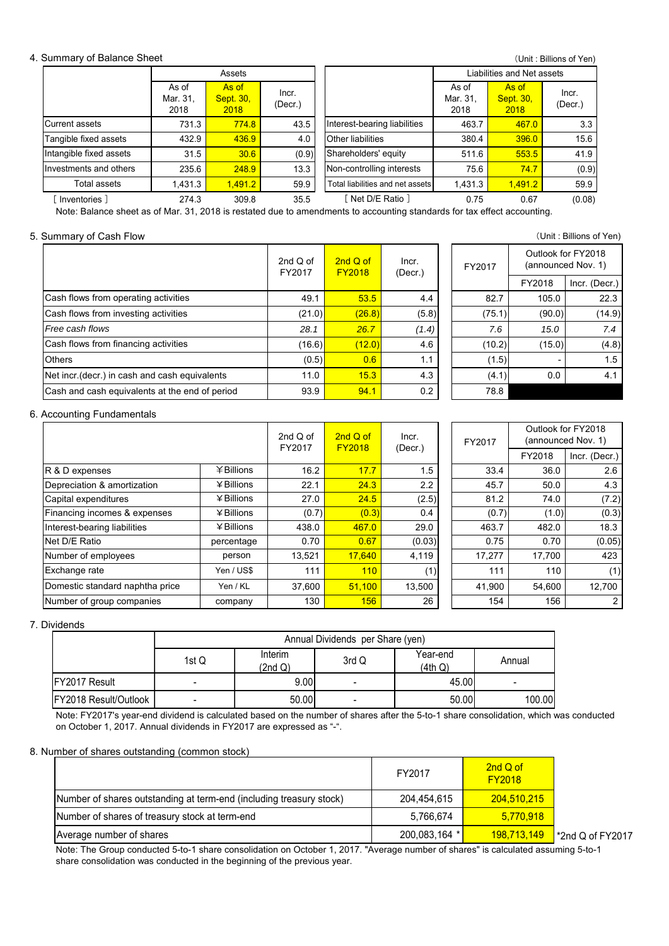#### 4. Summary of Balance Sheet

|                         |                           | Assets                            |                  |                                  | Liabilities and Net assets |                                   |                  |  |  |
|-------------------------|---------------------------|-----------------------------------|------------------|----------------------------------|----------------------------|-----------------------------------|------------------|--|--|
|                         | As of<br>Mar. 31,<br>2018 | As of<br><b>Sept. 30,</b><br>2018 | Incr.<br>(Decr.) |                                  | As of<br>Mar. 31,<br>2018  | As of<br><b>Sept. 30,</b><br>2018 | Incr.<br>(Decr.) |  |  |
| Current assets          | 731.3                     | 774.8                             | 43.5             | Interest-bearing liabilities     | 463.7                      | 467.0                             | 3.3              |  |  |
| Tangible fixed assets   | 432.9                     | 436.9                             | 4.0              | Other liabilities                | 380.4                      | 396.0                             | 15.6             |  |  |
| Intangible fixed assets | 31.5                      | 30.6                              | (0.9)            | Shareholders' equity             | 511.6                      | 553.5                             | 41.9             |  |  |
| Investments and others  | 235.6                     | 248.9                             | 13.3             | Non-controlling interests        | 75.6                       | 74.7                              | (0.9)            |  |  |
| Total assets            | 1,431.3                   | 1.491.2                           | 59.9             | Total liabilities and net assets | 1,431.3                    | 1.491.2                           | 59.9             |  |  |
| Inventories 1           | 274.3                     | 309.8                             | 35.5             | Net D/E Ratio 1                  | 0.75                       | 0.67                              | (0.08)           |  |  |

Note: Balance sheet as of Mar. 31, 2018 is restated due to amendments to accounting standards for tax effect accounting.

#### 5. Summary of Cash Flow (Unit : Billions of Yen)

| 2nd Q of<br>FY2017 | 2nd Q of<br><b>FY2018</b> | Incr.<br>(Decr.) | FY2017 |
|--------------------|---------------------------|------------------|--------|
| 49.1               | 53.5                      | 4.4              | 82     |
|                    | (26.8)                    | (5.8)            | (75)   |
| 28.1               | 26.7                      | (1.4)            | 7      |
| (16.6)             | (12.0)                    | 4.6              | (10    |
|                    | 0.6                       | 1.1              | (1)    |
| 11.0               | 15.3                      | 4.3              | (4)    |
| 93.9               | 94.1                      | 0.2              | 78     |
|                    |                           | (21.0)<br>(0.5)  |        |

| $\overline{C}$ |                                                |       |        |        |                                          |               |  |  |  |  |
|----------------|------------------------------------------------|-------|--------|--------|------------------------------------------|---------------|--|--|--|--|
| d of<br>017    | $2ndQ$ of<br>Incr.<br><b>FY2018</b><br>(Decr.) |       | FY2017 |        | Outlook for FY2018<br>(announced Nov. 1) |               |  |  |  |  |
|                |                                                |       |        |        | FY2018                                   | Incr. (Decr.) |  |  |  |  |
| 49.1           | 53.5                                           | 4.4   |        | 82.7   | 105.0                                    | 22.3          |  |  |  |  |
| (21.0)         | (26.8)                                         | (5.8) |        | (75.1) | (90.0)                                   | (14.9)        |  |  |  |  |
| 28.1           | 26.7                                           | (1.4) |        | 7.6    | 15.0                                     | 7.4           |  |  |  |  |
| (16.6)         | (12.0)                                         | 4.6   |        | (10.2) | (15.0)                                   | (4.8)         |  |  |  |  |
| (0.5)          | 0.6                                            | 1.1   |        | (1.5)  | ۰                                        | 1.5           |  |  |  |  |
| 11.0           | 15.3                                           | 4.3   |        | (4.1)  | 0.0                                      | 4.1           |  |  |  |  |
| 93.9           | 94.1                                           | 0.2   |        | 78.8   |                                          |               |  |  |  |  |

#### 6. Accounting Fundamentals

|                                 |              | 2nd $Q$ of<br>FY2017 | 2nd Q of<br><b>FY2018</b> | Incr.<br>(Decr.) | FY2017 | Outlook for FY2018<br>(announced Nov. 1) |                |  |
|---------------------------------|--------------|----------------------|---------------------------|------------------|--------|------------------------------------------|----------------|--|
|                                 |              |                      |                           |                  |        | FY2018                                   | Incr. (Decr.)  |  |
| R & D expenses                  | $#$ Billions | 16.2                 | 17.7                      | 1.5              | 33.4   | 36.0                                     | 2.6            |  |
| Depreciation & amortization     | ¥ Billions   | 22.1                 | 24.3                      | 2.2              | 45.7   | 50.0                                     | 4.3            |  |
| Capital expenditures            | $4$ Billions | 27.0                 | 24.5                      | (2.5)            | 81.2   | 74.0                                     | (7.2)          |  |
| Financing incomes & expenses    | ¥ Billions   | (0.7)                | (0.3)                     | 0.4              | (0.7)  | (1.0)                                    | (0.3)          |  |
| Interest-bearing liabilities    | $4$ Billions | 438.0                | 467.0                     | 29.0             | 463.7  | 482.0                                    | 18.3           |  |
| Net D/E Ratio                   | percentage   | 0.70                 | 0.67                      | (0.03)           | 0.75   | 0.70                                     | (0.05)         |  |
| Number of employees             | person       | 13,521               | 17,640                    | 4,119            | 17,277 | 17,700                                   | 423            |  |
| Exchange rate                   | Yen / US\$   | 111                  | 110                       | (1)              | 111    | 110                                      | (1)            |  |
| Domestic standard naphtha price | Yen / KL     | 37,600               | 51,100                    | 13,500           | 41,900 | 54,600                                   | 12,700         |  |
| Number of group companies       | company      | 130                  | 156                       | 26               | 154    | 156                                      | $\overline{2}$ |  |

| of<br>17 | 2nd Q of<br><b>FY2018</b> | Incr.<br>(Decr.) | FY2017 | Outlook for FY2018<br>(announced Nov. 1) |                |  |
|----------|---------------------------|------------------|--------|------------------------------------------|----------------|--|
|          |                           |                  |        | FY2018                                   | Incr. (Decr.)  |  |
| 6.2      | 17.7                      | 1.5              | 33.4   | 36.0                                     | 2.6            |  |
| 2.1      | 24.3                      | 2.2              | 45.7   | 50.0                                     | 4.3            |  |
| 27.0     | 24.5                      | (2.5)            | 81.2   | 74.0                                     | (7.2)          |  |
| (0.7)    | (0.3)                     | 0.4              | (0.7)  | (1.0)                                    | (0.3)          |  |
| 38.0     | 467.0                     | 29.0             | 463.7  | 482.0                                    | 18.3           |  |
| .70      | 0.67                      | (0.03)           | 0.75   | 0.70                                     | (0.05)         |  |
| 521      | 17,640                    | 4,119            | 17,277 | 17,700                                   | 423            |  |
| 111      | 110                       | (1)              | 111    | 110                                      | (1)            |  |
| 600      | 51,100                    | 13,500           | 41,900 | 54,600                                   | 12,700         |  |
| 130      | 156                       | 26               | 154    | 156                                      | $\overline{2}$ |  |

#### 7. Dividends

|                       | Annual Dividends per Share (yen) |                    |       |                     |        |  |
|-----------------------|----------------------------------|--------------------|-------|---------------------|--------|--|
|                       | 1st Q                            | Interim<br>(2nd Q) | 3rd Q | Year-end<br>(4th Q) | Annual |  |
| FY2017 Result         |                                  | 9.00               | -     | 45.00               |        |  |
| FY2018 Result/Outlook |                                  | 50.00              |       | 50.00               | 100.00 |  |

Note: FY2017's year-end dividend is calculated based on the number of shares after the 5-to-1 share consolidation, which was conducted on October 1, 2017. Annual dividends in FY2017 are expressed as "-".

#### 8. Number of shares outstanding (common stock)

|                                                                     | FY2017        | 2nd Q of<br><b>FY2018</b> |                 |
|---------------------------------------------------------------------|---------------|---------------------------|-----------------|
| Number of shares outstanding at term-end (including treasury stock) | 204,454,615   | 204,510,215               |                 |
| Number of shares of treasury stock at term-end                      | 5,766,674     | 5.770.918                 |                 |
| Average number of shares                                            | 200,083,164 * | <u>198,713,149</u>        | 2nd Q of FY2017 |

Note: The Group conducted 5-to-1 share consolidation on October 1, 2017. "Average number of shares" is calculated assuming 5-to-1 share consolidation was conducted in the beginning of the previous year.

(Unit : Billions of Yen)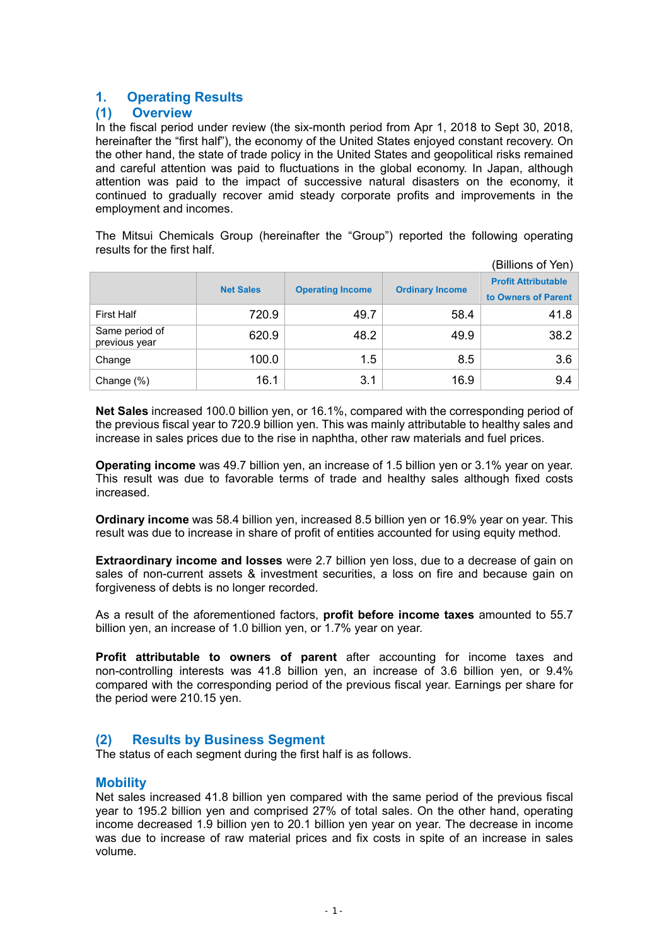# **1. Operating Results**

## **(1) Overview**

In the fiscal period under review (the six-month period from Apr 1, 2018 to Sept 30, 2018, hereinafter the "first half"), the economy of the United States enjoyed constant recovery. On the other hand, the state of trade policy in the United States and geopolitical risks remained and careful attention was paid to fluctuations in the global economy. In Japan, although attention was paid to the impact of successive natural disasters on the economy, it continued to gradually recover amid steady corporate profits and improvements in the employment and incomes.

The Mitsui Chemicals Group (hereinafter the "Group") reported the following operating results for the first half.

| (Billions of Yen)               |                  |                         |                        |                                                   |  |  |  |
|---------------------------------|------------------|-------------------------|------------------------|---------------------------------------------------|--|--|--|
|                                 | <b>Net Sales</b> | <b>Operating Income</b> | <b>Ordinary Income</b> | <b>Profit Attributable</b><br>to Owners of Parent |  |  |  |
| <b>First Half</b>               | 720.9            | 49.7                    | 58.4                   | 41.8                                              |  |  |  |
| Same period of<br>previous year | 620.9            | 48.2                    | 49.9                   | 38.2                                              |  |  |  |
| Change                          | 100.0            | 1.5                     | 8.5                    | 3.6                                               |  |  |  |
| Change (%)                      | 16.1             | 3.1                     | 16.9                   | 9.4                                               |  |  |  |

**Net Sales** increased 100.0 billion yen, or 16.1%, compared with the corresponding period of the previous fiscal year to 720.9 billion yen. This was mainly attributable to healthy sales and increase in sales prices due to the rise in naphtha, other raw materials and fuel prices.

**Operating income** was 49.7 billion yen, an increase of 1.5 billion yen or 3.1% year on year. This result was due to favorable terms of trade and healthy sales although fixed costs increased.

**Ordinary income** was 58.4 billion yen, increased 8.5 billion yen or 16.9% year on year. This result was due to increase in share of profit of entities accounted for using equity method.

**Extraordinary income and losses** were 2.7 billion yen loss, due to a decrease of gain on sales of non-current assets & investment securities, a loss on fire and because gain on forgiveness of debts is no longer recorded.

As a result of the aforementioned factors, **profit before income taxes** amounted to 55.7 billion yen, an increase of 1.0 billion yen, or 1.7% year on year.

**Profit attributable to owners of parent** after accounting for income taxes and non-controlling interests was 41.8 billion yen, an increase of 3.6 billion yen, or 9.4% compared with the corresponding period of the previous fiscal year. Earnings per share for the period were 210.15 yen.

## **(2) Results by Business Segment**

The status of each segment during the first half is as follows.

## **Mobility**

Net sales increased 41.8 billion yen compared with the same period of the previous fiscal year to 195.2 billion yen and comprised 27% of total sales. On the other hand, operating income decreased 1.9 billion yen to 20.1 billion yen year on year. The decrease in income was due to increase of raw material prices and fix costs in spite of an increase in sales volume.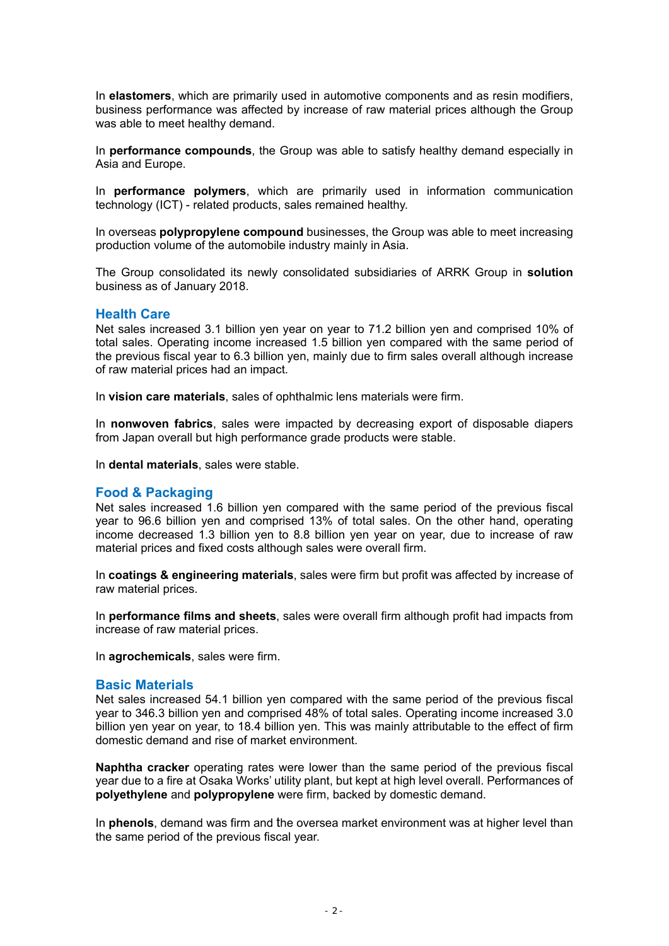In **elastomers**, which are primarily used in automotive components and as resin modifiers, business performance was affected by increase of raw material prices although the Group was able to meet healthy demand.

In **performance compounds**, the Group was able to satisfy healthy demand especially in Asia and Europe.

In **performance polymers**, which are primarily used in information communication technology (ICT) - related products, sales remained healthy.

In overseas **polypropylene compound** businesses, the Group was able to meet increasing production volume of the automobile industry mainly in Asia.

The Group consolidated its newly consolidated subsidiaries of ARRK Group in **solution** business as of January 2018.

#### **Health Care**

Net sales increased 3.1 billion yen year on year to 71.2 billion yen and comprised 10% of total sales. Operating income increased 1.5 billion yen compared with the same period of the previous fiscal year to 6.3 billion yen, mainly due to firm sales overall although increase of raw material prices had an impact.

In **vision care materials**, sales of ophthalmic lens materials were firm.

In **nonwoven fabrics**, sales were impacted by decreasing export of disposable diapers from Japan overall but high performance grade products were stable.

In **dental materials**, sales were stable.

### **Food & Packaging**

Net sales increased 1.6 billion yen compared with the same period of the previous fiscal year to 96.6 billion yen and comprised 13% of total sales. On the other hand, operating income decreased 1.3 billion yen to 8.8 billion yen year on year, due to increase of raw material prices and fixed costs although sales were overall firm.

In **coatings & engineering materials**, sales were firm but profit was affected by increase of raw material prices.

In **performance films and sheets**, sales were overall firm although profit had impacts from increase of raw material prices.

In **agrochemicals**, sales were firm.

### **Basic Materials**

Net sales increased 54.1 billion yen compared with the same period of the previous fiscal year to 346.3 billion yen and comprised 48% of total sales. Operating income increased 3.0 billion yen year on year, to 18.4 billion yen. This was mainly attributable to the effect of firm domestic demand and rise of market environment.

**Naphtha cracker** operating rates were lower than the same period of the previous fiscal year due to a fire at Osaka Works' utility plant, but kept at high level overall. Performances of **polyethylene** and **polypropylene** were firm, backed by domestic demand.

In **phenols**, demand was firm and the oversea market environment was at higher level than the same period of the previous fiscal year.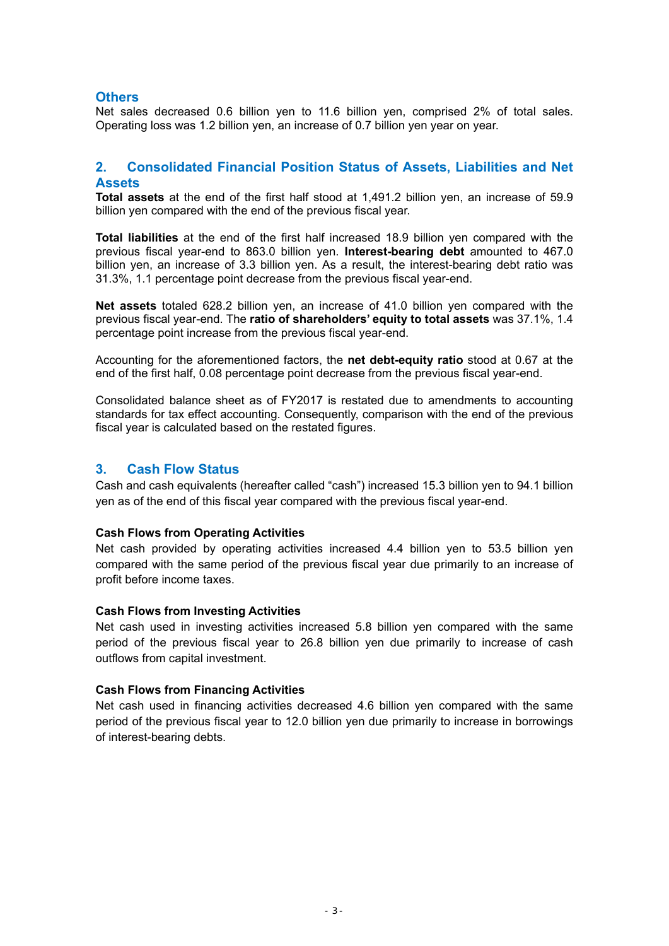## **Others**

Net sales decreased 0.6 billion yen to 11.6 billion yen, comprised 2% of total sales. Operating loss was 1.2 billion yen, an increase of 0.7 billion yen year on year.

## **2. Consolidated Financial Position Status of Assets, Liabilities and Net Assets**

**Total assets** at the end of the first half stood at 1,491.2 billion yen, an increase of 59.9 billion yen compared with the end of the previous fiscal year.

**Total liabilities** at the end of the first half increased 18.9 billion yen compared with the previous fiscal year-end to 863.0 billion yen. **Interest-bearing debt** amounted to 467.0 billion yen, an increase of 3.3 billion yen. As a result, the interest-bearing debt ratio was 31.3%, 1.1 percentage point decrease from the previous fiscal year-end.

**Net assets** totaled 628.2 billion yen, an increase of 41.0 billion yen compared with the previous fiscal year-end. The **ratio of shareholders' equity to total assets** was 37.1%, 1.4 percentage point increase from the previous fiscal year-end.

Accounting for the aforementioned factors, the **net debt-equity ratio** stood at 0.67 at the end of the first half, 0.08 percentage point decrease from the previous fiscal year-end.

Consolidated balance sheet as of FY2017 is restated due to amendments to accounting standards for tax effect accounting. Consequently, comparison with the end of the previous fiscal year is calculated based on the restated figures.

## **3. Cash Flow Status**

Cash and cash equivalents (hereafter called "cash") increased 15.3 billion yen to 94.1 billion yen as of the end of this fiscal year compared with the previous fiscal year-end.

### **Cash Flows from Operating Activities**

Net cash provided by operating activities increased 4.4 billion yen to 53.5 billion yen compared with the same period of the previous fiscal year due primarily to an increase of profit before income taxes.

### **Cash Flows from Investing Activities**

Net cash used in investing activities increased 5.8 billion yen compared with the same period of the previous fiscal year to 26.8 billion yen due primarily to increase of cash outflows from capital investment.

### **Cash Flows from Financing Activities**

Net cash used in financing activities decreased 4.6 billion yen compared with the same period of the previous fiscal year to 12.0 billion yen due primarily to increase in borrowings of interest-bearing debts.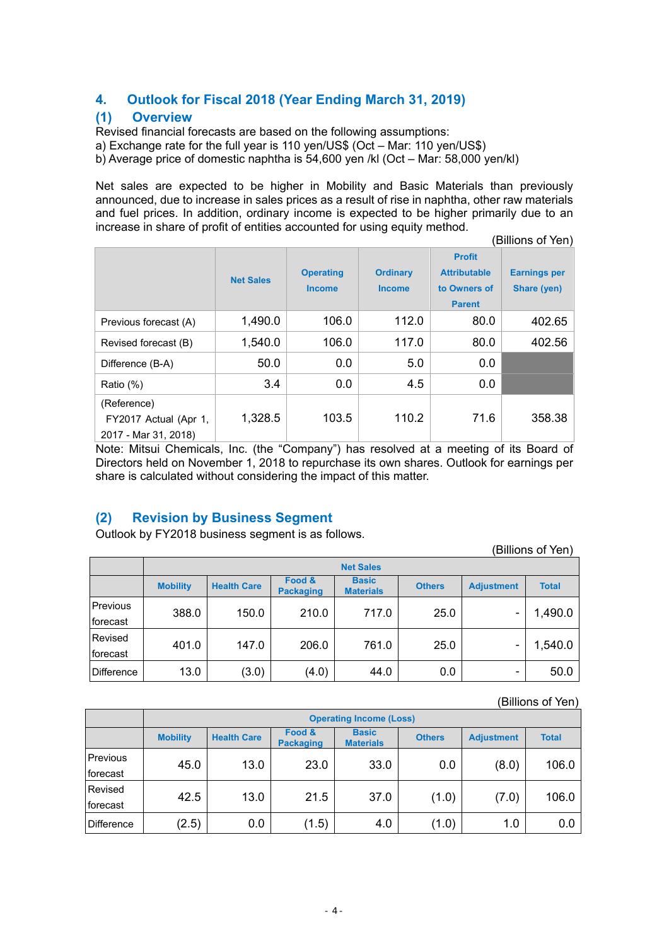# **4. Outlook for Fiscal 2018 (Year Ending March 31, 2019)**

## **(1) Overview**

Revised financial forecasts are based on the following assumptions:

a) Exchange rate for the full year is 110 yen/US\$ (Oct – Mar: 110 yen/US\$)

b) Average price of domestic naphtha is 54,600 yen /kl (Oct – Mar: 58,000 yen/kl)

Net sales are expected to be higher in Mobility and Basic Materials than previously announced, due to increase in sales prices as a result of rise in naphtha, other raw materials and fuel prices. In addition, ordinary income is expected to be higher primarily due to an increase in share of profit of entities accounted for using equity method.

(Billions of Yen)

|                                                              | <b>Net Sales</b> | <b>Operating</b><br><b>Income</b> | <b>Ordinary</b><br><b>Income</b> | <b>Profit</b><br><b>Attributable</b><br>to Owners of<br><b>Parent</b> | <b>Earnings per</b><br>Share (yen) |
|--------------------------------------------------------------|------------------|-----------------------------------|----------------------------------|-----------------------------------------------------------------------|------------------------------------|
| Previous forecast (A)                                        | 1,490.0          | 106.0                             | 112.0                            | 80.0                                                                  | 402.65                             |
| Revised forecast (B)                                         | 1,540.0          | 106.0                             | 117.0                            | 80.0                                                                  | 402.56                             |
| Difference (B-A)                                             | 50.0             | 0.0                               | 5.0                              | 0.0                                                                   |                                    |
| Ratio (%)                                                    | 3.4              | 0.0                               | 4.5                              | 0.0                                                                   |                                    |
| (Reference)<br>FY2017 Actual (Apr 1,<br>2017 - Mar 31, 2018) | 1,328.5          | 103.5                             | 110.2                            | 71.6                                                                  | 358.38                             |

Note: Mitsui Chemicals, Inc. (the "Company") has resolved at a meeting of its Board of Directors held on November 1, 2018 to repurchase its own shares. Outlook for earnings per share is calculated without considering the impact of this matter.

# **(2) Revision by Business Segment**

Outlook by FY2018 business segment is as follows.

(Billions of Yen)

|                   | <b>Net Sales</b> |                    |                            |                                  |               |                   |              |  |  |
|-------------------|------------------|--------------------|----------------------------|----------------------------------|---------------|-------------------|--------------|--|--|
|                   | <b>Mobility</b>  | <b>Health Care</b> | Food &<br><b>Packaging</b> | <b>Basic</b><br><b>Materials</b> | <b>Others</b> | <b>Adjustment</b> | <b>Total</b> |  |  |
| <b>Previous</b>   | 388.0            | 150.0              | 210.0                      | 717.0                            | 25.0          |                   | 1,490.0      |  |  |
| forecast          |                  |                    |                            |                                  |               |                   |              |  |  |
| Revised           | 401.0            | 147.0              | 206.0                      | 761.0                            | 25.0          |                   | 1,540.0      |  |  |
| forecast          |                  |                    |                            |                                  |               |                   |              |  |  |
| <b>Difference</b> | 13.0             | (3.0)              | (4.0)                      | 44.0                             | 0.0           | -                 | 50.0         |  |  |

(Billions of Yen)

|            | <b>Operating Income (Loss)</b> |                    |                            |                                  |               |                   |              |  |
|------------|--------------------------------|--------------------|----------------------------|----------------------------------|---------------|-------------------|--------------|--|
|            | <b>Mobility</b>                | <b>Health Care</b> | Food &<br><b>Packaging</b> | <b>Basic</b><br><b>Materials</b> | <b>Others</b> | <b>Adjustment</b> | <b>Total</b> |  |
| Previous   | 45.0                           | 13.0               | 23.0                       | 33.0                             | 0.0           | (8.0)             | 106.0        |  |
| forecast   |                                |                    |                            |                                  |               |                   |              |  |
| Revised    | 42.5                           | 13.0               | 21.5                       | 37.0                             | (1.0)         | (7.0)             | 106.0        |  |
| forecast   |                                |                    |                            |                                  |               |                   |              |  |
| Difference | (2.5)                          | 0.0                | (1.5)                      | 4.0                              | (1.0)         | 1.0               | 0.0          |  |